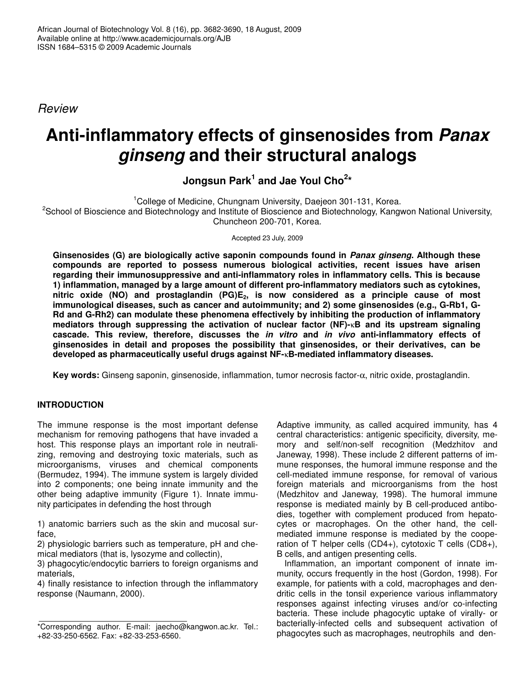*Review*

# **Anti-inflammatory effects of ginsenosides from** *Panax ginseng* **and their structural analogs**

**Jongsun Park 1 and Jae Youl Cho 2 \***

<sup>1</sup>College of Medicine, Chungnam University, Daejeon 301-131, Korea. <sup>2</sup>School of Bioscience and Biotechnology and Institute of Bioscience and Biotechnology, Kangwon National University, Chuncheon 200-701, Korea.

Accepted 23 July, 2009

**Ginsenosides (G) are biologically active saponin compounds found in** *Panax ginseng***. Although these compounds are reported to possess numerous biological activities, recent issues have arisen regarding their immunosuppressive and anti-inflammatory roles in inflammatory cells. This is because 1) inflammation, managed by a large amount of different pro-inflammatory mediators such as cytokines, nitric oxide (NO) and prostaglandin (PG)E2, is now considered as a principle cause of most immunological diseases, such as cancer and autoimmunity; and 2) some ginsenosides (e.g., G-Rb1, G-Rd and G-Rh2) can modulate these phenomena effectively by inhibiting the production of inflammatory mediators through suppressing the activation of nuclear factor (NF)-**κ**B and its upstream signaling cascade. This review, therefore, discusses the** *in vitro* **and** *in vivo* **anti-inflammatory effects of ginsenosides in detail and proposes the possibility that ginsenosides, or their derivatives, can be developed as pharmaceutically useful drugs against NF-**κ**B-mediated inflammatory diseases.**

**Key words:** Ginseng saponin, ginsenoside, inflammation, tumor necrosis factor-α, nitric oxide, prostaglandin.

# **INTRODUCTION**

The immune response is the most important defense mechanism for removing pathogens that have invaded a host. This response plays an important role in neutralizing, removing and destroying toxic materials, such as microorganisms, viruses and chemical components (Bermudez, 1994). The immune system is largely divided into 2 components; one being innate immunity and the other being adaptive immunity (Figure 1). Innate immunity participates in defending the host through

1) anatomic barriers such as the skin and mucosal surface,

2) physiologic barriers such as temperature, pH and chemical mediators (that is, lysozyme and collectin),

3) phagocytic/endocytic barriers to foreign organisms and materials,

4) finally resistance to infection through the inflammatory response (Naumann, 2000).

Adaptive immunity, as called acquired immunity, has 4 central characteristics: antigenic specificity, diversity, memory and self/non-self recognition (Medzhitov and Janeway, 1998). These include 2 different patterns of immune responses, the humoral immune response and the cell-mediated immune response, for removal of various foreign materials and microorganisms from the host (Medzhitov and Janeway, 1998). The humoral immune response is mediated mainly by B cell-produced antibodies, together with complement produced from hepatocytes or macrophages. On the other hand, the cellmediated immune response is mediated by the cooperation of T helper cells (CD4+), cytotoxic T cells (CD8+), B cells, and antigen presenting cells.

Inflammation, an important component of innate immunity, occurs frequently in the host (Gordon, 1998). For example, for patients with a cold, macrophages and dendritic cells in the tonsil experience various inflammatory responses against infecting viruses and/or co-infecting bacteria. These include phagocytic uptake of virally- or bacterially-infected cells and subsequent activation of phagocytes such as macrophages, neutrophils and den-

<sup>\*</sup>Corresponding author. E-mail: jaecho@kangwon.ac.kr. Tel.: +82-33-250-6562. Fax: +82-33-253-6560.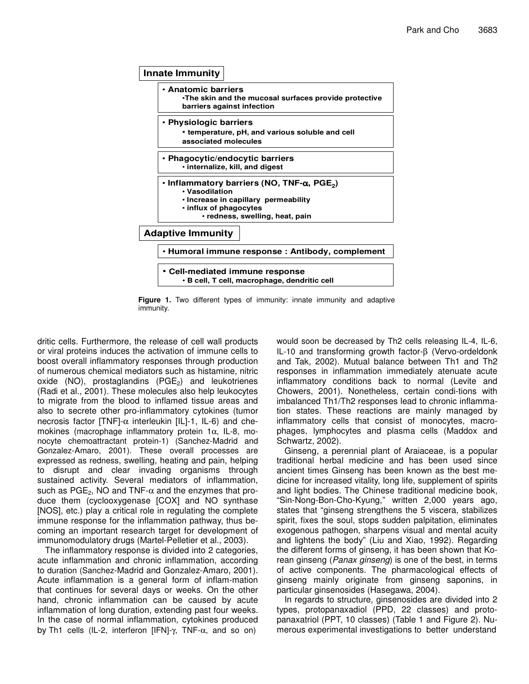

**Figure 1.** Two different types of immunity: innate immunity and adaptive immunity.

dritic cells. Furthermore, the release of cell wall products or viral proteins induces the activation of immune cells to boost overall inflammatory responses through production of numerous chemical mediators such as histamine, nitric oxide (NO), prostaglandins  $(PGE_2)$  and leukotrienes (Radi et al., 2001). These molecules also help leukocytes to migrate from the blood to inflamed tissue areas and also to secrete other pro-inflammatory cytokines (tumor necrosis factor [TNF]- $\alpha$  interleukin [IL]-1, IL-6) and chemokines (macrophage inflammatory protein 1α, IL-8, monocyte chemoattractant protein-1) (Sanchez-Madrid and Gonzalez-Amaro, 2001). These overall processes are expressed as redness, swelling, heating and pain, helping to disrupt and clear invading organisms through sustained activity. Several mediators of inflammation, such as  $PGE_2$ , NO and TNF- $\alpha$  and the enzymes that produce them (cyclooxygenase [COX] and NO synthase [NOS], etc.) play a critical role in regulating the complete immune response for the inflammation pathway, thus becoming an important research target for development of immunomodulatory drugs (Martel-Pelletier et al., 2003).

The inflammatory response is divided into 2 categories, acute inflammation and chronic inflammation, according to duration (Sanchez-Madrid and Gonzalez-Amaro, 2001). Acute inflammation is a general form of inflam-mation that continues for several days or weeks. On the other hand, chronic inflammation can be caused by acute inflammation of long duration, extending past four weeks. In the case of normal inflammation, cytokines produced by Th1 cells (IL-2, interferon [IFN]-γ, TNF-α, and so on)

would soon be decreased by Th2 cells releasing IL-4, IL-6, IL-10 and transforming growth factor-β (Vervo-ordeldonk and Tak, 2002). Mutual balance between Th1 and Th2 responses in inflammation immediately atenuate acute inflammatory conditions back to normal (Levite and Chowers, 2001). Nonetheless, certain condi-tions with imbalanced Th1/Th2 responses lead to chronic inflammation states. These reactions are mainly managed by inflammatory cells that consist of monocytes, macrophages, lymphocytes and plasma cells (Maddox and Schwartz, 2002).

Ginseng, a perennial plant of Araiaceae, is a popular traditional herbal medicine and has been used since ancient times Ginseng has been known as the best medicine for increased vitality, long life, supplement of spirits and light bodies. The Chinese traditional medicine book, "Sin-Nong-Bon-Cho-Kyung," written 2,000 years ago, states that "ginseng strengthens the 5 viscera, stabilizes spirit, fixes the soul, stops sudden palpitation, eliminates exogenous pathogen, sharpens visual and mental acuity and lightens the body" (Liu and Xiao, 1992). Regarding the different forms of ginseng, it has been shown that Korean ginseng (*Panax ginseng*) is one of the best, in terms of active components. The pharmacological effects of ginseng mainly originate from ginseng saponins, in particular ginsenosides (Hasegawa, 2004).

In regards to structure, ginsenosides are divided into 2 types, protopanaxadiol (PPD, 22 classes) and protopanaxatriol (PPT, 10 classes) (Table 1 and Figure 2). Numerous experimental investigations to better understand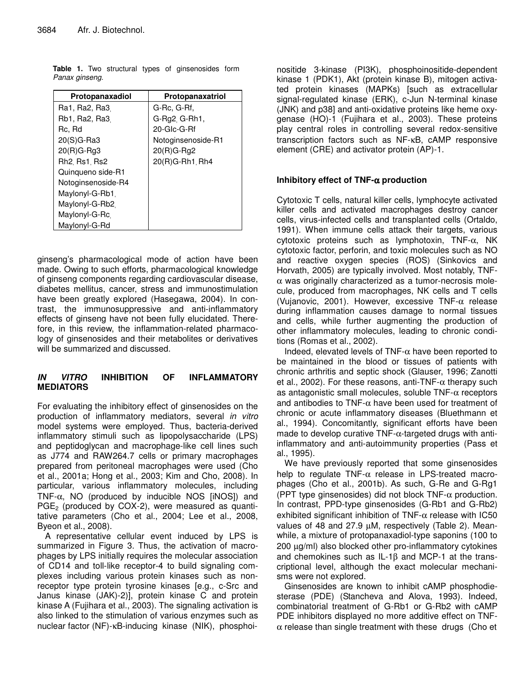|                |  |  | Table 1. Two structural types of ginsenosides form |  |
|----------------|--|--|----------------------------------------------------|--|
| Panax ginseng. |  |  |                                                    |  |

| Protopanaxadiol    | Protopanaxatriol   |
|--------------------|--------------------|
| Ra1, Ra2, Ra3      | G-Rc, G-Rf,        |
| Rb1, Ra2, Ra3      | G-Rg2, G-Rh1,      |
| Rc, Rd             | 20-Glc-G-Rf        |
| 20(S)G-Ra3         | Notoginsenoside-R1 |
| $20(R)G-Rg3$       | $20(R)G-$ Rg2      |
| Rh2, Rs1, Rs2      | $20(R)G-Rh1$ , Rh4 |
| Quinqueno side-R1  |                    |
| Notoginsenoside-R4 |                    |
| Maylonyl-G-Rb1     |                    |
| Maylonyl-G-Rb2     |                    |
| Maylonyl-G-Rc      |                    |
| Maylonyl-G-Rd      |                    |

ginseng's pharmacological mode of action have been made. Owing to such efforts, pharmacological knowledge of ginseng components regarding cardiovascular disease, diabetes mellitus, cancer, stress and immunostimulation have been greatly explored (Hasegawa, 2004). In contrast, the immunosuppressive and anti-inflammatory effects of ginseng have not been fully elucidated. Therefore, in this review, the inflammation-related pharmacology of ginsenosides and their metabolites or derivatives will be summarized and discussed.

## *IN VITRO* **INHIBITION OF INFLAMMATORY MEDIATORS**

For evaluating the inhibitory effect of ginsenosides on the production of inflammatory mediators, several *in vitro* model systems were employed. Thus, bacteria-derived inflammatory stimuli such as lipopolysaccharide (LPS) and peptidoglycan and macrophage-like cell lines such as J774 and RAW264.7 cells or primary macrophages prepared from peritoneal macrophages were used (Cho et al., 2001a; Hong et al., 2003; Kim and Cho, 2008). In particular, various inflammatory molecules, including TNF- $\alpha$ , NO (produced by inducible NOS [iNOS]) and  $PGE<sub>2</sub>$  (produced by COX-2), were measured as quantitative parameters (Cho et al., 2004; Lee et al., 2008, Byeon et al., 2008).

A representative cellular event induced by LPS is summarized in Figure 3. Thus, the activation of macrophages by LPS initially requires the molecular association of CD14 and toll-like receptor-4 to build signaling complexes including various protein kinases such as nonreceptor type protein tyrosine kinases [e.g., c-Src and Janus kinase (JAK)-2)], protein kinase C and protein kinase A (Fujihara et al., 2003). The signaling activation is also linked to the stimulation of various enzymes such as nuclear factor (NF)-κB-inducing kinase (NIK), phosphoinositide 3-kinase (PI3K), phosphoinositide-dependent kinase 1 (PDK1), Akt (protein kinase B), mitogen activated protein kinases (MAPKs) [such as extracellular signal-regulated kinase (ERK), c-Jun N-terminal kinase (JNK) and p38] and anti-oxidative proteins like heme oxygenase (HO)-1 (Fujihara et al., 2003). These proteins play central roles in controlling several redox-sensitive transcription factors such as NF-κB, cAMP responsive element (CRE) and activator protein (AP)-1.

# **Inhibitory effect of TNF-**α **production**

Cytotoxic T cells, natural killer cells, lymphocyte activated killer cells and activated macrophages destroy cancer cells, virus-infected cells and transplanted cells (Ortaldo, 1991). When immune cells attack their targets, various cytotoxic proteins such as lymphotoxin, TNF-α, NK cytotoxic factor, perforin, and toxic molecules such as NO and reactive oxygen species (ROS) (Sinkovics and Horvath, 2005) are typically involved. Most notably, TNF- $\alpha$  was originally characterized as a tumor-necrosis molecule, produced from macrophages, NK cells and T cells (Vujanovic, 2001). However, excessive TNF-α release during inflammation causes damage to normal tissues and cells, while further augmenting the production of other inflammatory molecules, leading to chronic conditions (Romas et al., 2002).

Indeed, elevated levels of TNF- $\alpha$  have been reported to be maintained in the blood or tissues of patients with chronic arthritis and septic shock (Glauser, 1996; Zanotti et al., 2002). For these reasons, anti-TNF- $\alpha$  therapy such as antagonistic small molecules, soluble  $TNF-\alpha$  receptors and antibodies to TNF- $\alpha$  have been used for treatment of chronic or acute inflammatory diseases (Bluethmann et al., 1994). Concomitantly, significant efforts have been made to develop curative TNF-α-targeted drugs with antiinflammatory and anti-autoimmunity properties (Pass et al., 1995).

We have previously reported that some ginsenosides help to regulate TNF- $\alpha$  release in LPS-treated macrophages (Cho et al., 2001b). As such, G-Re and G-Rg1 (PPT type ginsenosides) did not block TNF- $\alpha$  production. In contrast, PPD-type ginsenosides (G-Rb1 and G-Rb2) exhibited significant inhibition of TNF- $\alpha$  release with IC50 values of 48 and 27.9 µM, respectively (Table 2). Meanwhile, a mixture of protopanaxadiol-type saponins (100 to 200 µg/ml) also blocked other pro-inflammatory cytokines and chemokines such as IL-1β and MCP-1 at the transcriptional level, although the exact molecular mechanisms were not explored.

Ginsenosides are known to inhibit cAMP phosphodiesterase (PDE) (Stancheva and Alova, 1993). Indeed, combinatorial treatment of G-Rb1 or G-Rb2 with cAMP PDE inhibitors displayed no more additive effect on TNF- $\alpha$  release than single treatment with these drugs (Cho et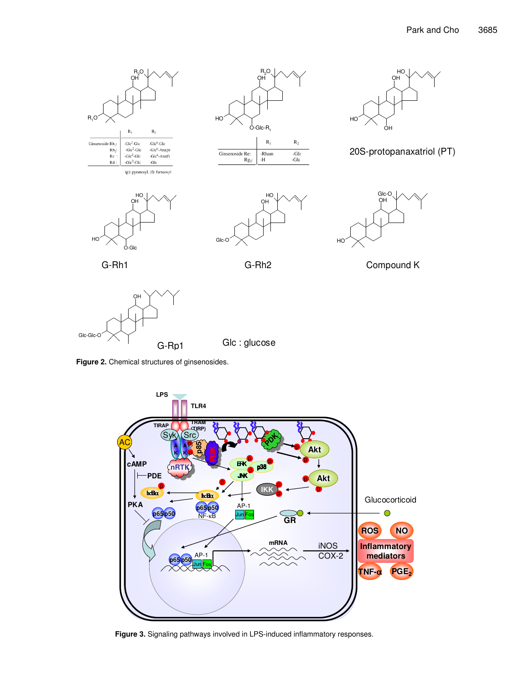





20S-protopanaxatriol (PT)













**Figure 2.** Chemical structures of ginsenosides.



**Figure 3.** Signaling pathways involved in LPS-induced inflammatory responses.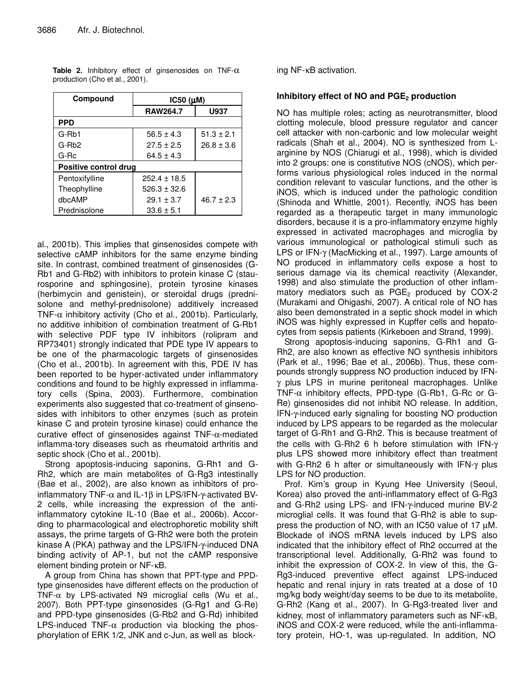| Compound              | IC50 (µM)        |                |  |  |  |
|-----------------------|------------------|----------------|--|--|--|
|                       | <b>RAW264.7</b>  | U937           |  |  |  |
| <b>PPD</b>            |                  |                |  |  |  |
| G-Rb1                 | $56.5 \pm 4.3$   | $51.3 \pm 2.1$ |  |  |  |
| G-Rh <sub>2</sub>     | $27.5 \pm 2.5$   | $26.8 \pm 3.6$ |  |  |  |
| G-Rc                  | $64.5 \pm 4.3$   |                |  |  |  |
| Positive control drug |                  |                |  |  |  |
| Pentoxifylline        | $252.4 + 18.5$   |                |  |  |  |
| Theophylline          | $526.3 \pm 32.6$ |                |  |  |  |
| dbcAMP                | $29.1 \pm 3.7$   | $46.7 \pm 2.3$ |  |  |  |
| Prednisolone          | $33.6 \pm 5.1$   |                |  |  |  |

**Table 2.** Inhibitory effect of ginsenosides on TNF-α production (Cho et al., 2001).

al., 2001b). This implies that ginsenosides compete with selective cAMP inhibitors for the same enzyme binding site. In contrast, combined treatment of ginsenosides (G-Rb1 and G-Rb2) with inhibitors to protein kinase C (staurosporine and sphingosine), protein tyrosine kinases (herbimycin and genistein), or steroidal drugs (prednisolone and methyl-prednisolone) additively increased TNF- $\alpha$  inhibitory activity (Cho et al., 2001b). Particularly, no additive inhibition of combination treatment of G-Rb1 with selective PDF type IV inhibitors (rolipram and RP73401) strongly indicated that PDE type IV appears to be one of the pharmacologic targets of ginsenosides (Cho et al., 2001b). In agreement with this, PDE IV has been reported to be hyper-activated under inflammatory conditions and found to be highly expressed in inflammatory cells (Spina, 2003). Furthermore, combination experiments also suggested that co-treatment of ginsenosides with inhibitors to other enzymes (such as protein kinase C and protein tyrosine kinase) could enhance the curative effect of ginsenosides against TNF-α-mediated inflamma-tory diseases such as rheumatoid arthritis and septic shock (Cho et al., 2001b).

Strong apoptosis-inducing saponins, G-Rh1 and G-Rh2, which are main metabolites of G-Rg3 intestinally (Bae et al., 2002), are also known as inhibitors of proinflammatory TNF-α and IL-1β in LPS/IFN-γ-activated BV-2 cells, while increasing the expression of the antiinflammatory cytokine IL-10 (Bae et al., 2006b). According to pharmacological and electrophoretic mobility shift assays, the prime targets of G-Rh2 were both the protein kinase A (PKA) pathway and the LPS/IFN-γ-induced DNA binding activity of AP-1, but not the cAMP responsive element binding protein or NF-κB.

A group from China has shown that PPT-type and PPDtype ginsenosides have different effects on the production of TNF- $\alpha$  by LPS-activated N9 microglial cells (Wu et al., 2007). Both PPT-type ginsenosides (G-Rg1 and G-Re) and PPD-type ginsenosides (G-Rb2 and G-Rd) inhibited LPS-induced TNF- $\alpha$  production via blocking the phosphorylation of ERK 1/2, JNK and c-Jun, as well as blocking NF-κB activation.

### **Inhibitory effect of NO and PGE<sup>2</sup> production**

NO has multiple roles; acting as neurotransmitter, blood clotting molecule, blood pressure regulator and cancer cell attacker with non-carbonic and low molecular weight radicals (Shah et al., 2004). NO is synthesized from Larginine by NOS (Chiarugi et al., 1998), which is divided into 2 groups: one is constitutive NOS (cNOS), which performs various physiological roles induced in the normal condition relevant to vascular functions, and the other is iNOS, which is induced under the pathologic condition (Shinoda and Whittle, 2001). Recently, iNOS has been regarded as a therapeutic target in many immunologic disorders, because it is a pro-inflammatory enzyme highly expressed in activated macrophages and microglia by various immunological or pathological stimuli such as LPS or IFN-γ (MacMicking et al., 1997). Large amounts of NO produced in inflammatory cells expose a host to serious damage via its chemical reactivity (Alexander, 1998) and also stimulate the production of other inflammatory mediators such as  $PGE<sub>2</sub>$  produced by COX-2 (Murakami and Ohigashi, 2007). A critical role of NO has also been demonstrated in a septic shock model in which iNOS was highly expressed in Kupffer cells and hepatocytes from sepsis patients (Kirkeboen and Strand, 1999).

Strong apoptosis-inducing saponins, G-Rh1 and G-Rh2, are also known as effective NO synthesis inhibitors (Park et al., 1996; Bae et al., 2006b). Thus, these compounds strongly suppress NO production induced by IFNγ plus LPS in murine peritoneal macrophages. Unlike TNF- $\alpha$  inhibitory effects, PPD-type (G-Rb1, G-Rc or G-Re) ginsenosides did not inhibit NO release. In addition, IFN-γ-induced early signaling for boosting NO production induced by LPS appears to be regarded as the molecular target of G-Rh1 and G-Rh2. This is because treatment of the cells with G-Rh2 6 h before stimulation with IFN-γ plus LPS showed more inhibitory effect than treatment with G-Rh<sub>2</sub> 6 h after or simultaneously with IFN-γ plus LPS for NO production.

Prof. Kim's group in Kyung Hee University (Seoul, Korea) also proved the anti-inflammatory effect of G-Rg3 and G-Rh2 using LPS- and IFN-γ-induced murine BV-2 microglial cells. It was found that G-Rh2 is able to suppress the production of NO, with an IC50 value of 17 µM. Blockade of iNOS mRNA levels induced by LPS also indicated that the inhibitory effect of Rh2 occurred at the transcriptional level. Additionally, G-Rh2 was found to inhibit the expression of COX-2. In view of this, the G-Rg3-induced preventive effect against LPS-induced hepatic and renal injury in rats treated at a dose of 10 mg/kg body weight/day seems to be due to its metabolite, G-Rh2 (Kang et al., 2007). In G-Rg3-treated liver and kidney, most of inflammatory parameters such as NF-κB, iNOS and COX-2 were reduced, while the anti-inflammatory protein, HO-1, was up-regulated. In addition, NO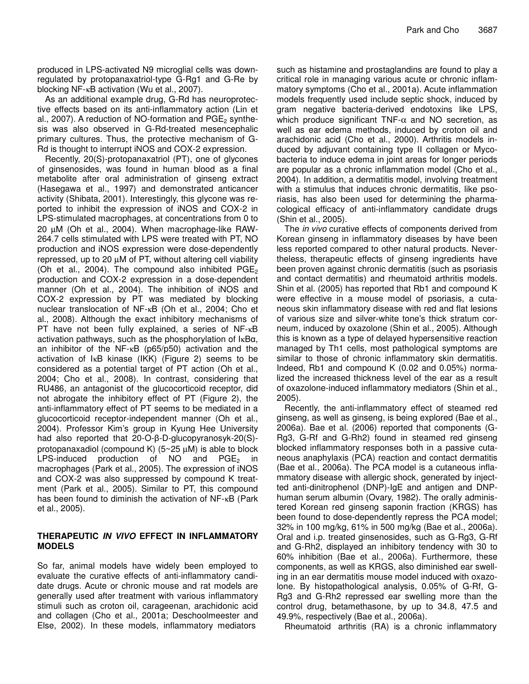produced in LPS-activated N9 microglial cells was downregulated by protopanaxatriol-type G-Rg1 and G-Re by blocking NF-κB activation (Wu et al., 2007).

As an additional example drug, G-Rd has neuroprotective effects based on its anti-inflammatory action (Lin et al., 2007). A reduction of NO-formation and  $PGE<sub>2</sub>$  synthesis was also observed in G-Rd-treated mesencephalic primary cultures. Thus, the protective mechanism of G-Rd is thought to interrupt iNOS and COX-2 expression.

Recently, 20(S)-protopanaxatriol (PT), one of glycones of ginsenosides, was found in human blood as a final metabolite after oral administration of ginseng extract (Hasegawa et al., 1997) and demonstrated anticancer activity (Shibata, 2001). Interestingly, this glycone was reported to inhibit the expression of iNOS and COX-2 in LPS-stimulated macrophages, at concentrations from 0 to 20 µM (Oh et al., 2004). When macrophage-like RAW-264.7 cells stimulated with LPS were treated with PT, NO production and iNOS expression were dose-dependently repressed, up to 20 µM of PT, without altering cell viability (Oh et al., 2004). The compound also inhibited  $PGE_2$ production and COX-2 expression in a dose-dependent manner (Oh et al., 2004). The inhibition of iNOS and COX-2 expression by PT was mediated by blocking nuclear translocation of NF-κB (Oh et al., 2004; Cho et al., 2008). Although the exact inhibitory mechanisms of PT have not been fully explained, a series of NF-κB activation pathways, such as the phosphorylation of  $\text{I} \kappa \text{B} \alpha$ , an inhibitor of the NF-κB (p65/p50) activation and the activation of IκB kinase (IKK) (Figure 2) seems to be considered as a potential target of PT action (Oh et al., 2004; Cho et al., 2008). In contrast, considering that RU486, an antagonist of the glucocorticoid receptor, did not abrogate the inhibitory effect of PT (Figure 2), the anti-inflammatory effect of PT seems to be mediated in a glucocorticoid receptor-independent manner (Oh et al., 2004). Professor Kim's group in Kyung Hee University had also reported that 20-O-β-D-glucopyranosyk-20(S)protopanaxadiol (compound K)  $(5~25 \mu M)$  is able to block LPS-induced production of NO and  $PGE_2$  in macrophages (Park et al., 2005). The expression of iNOS and COX-2 was also suppressed by compound K treatment (Park et al., 2005). Similar to PT, this compound has been found to diminish the activation of NF-κB (Park et al., 2005).

### **THERAPEUTIC** *IN VIVO* **EFFECT IN INFLAMMATORY MODELS**

So far, animal models have widely been employed to evaluate the curative effects of anti-inflammatory candidate drugs. Acute or chronic mouse and rat models are generally used after treatment with various inflammatory stimuli such as croton oil, carageenan, arachidonic acid and collagen (Cho et al., 2001a; Deschoolmeester and Else, 2002). In these models, inflammatory mediators

such as histamine and prostaglandins are found to play a critical role in managing various acute or chronic inflammatory symptoms (Cho et al., 2001a). Acute inflammation models frequently used include septic shock, induced by gram negative bacteria-derived endotoxins like LPS, which produce significant TNF- $\alpha$  and NO secretion, as well as ear edema methods, induced by croton oil and arachidonic acid (Cho et al., 2000). Arthritis models induced by adjuvant containing type II collagen or Mycobacteria to induce edema in joint areas for longer periods are popular as a chronic inflammation model (Cho et al., 2004). In addition, a dermatitis model, involving treatment with a stimulus that induces chronic dermatitis, like psoriasis, has also been used for determining the pharmacological efficacy of anti-inflammatory candidate drugs (Shin et al., 2005).

The *in vivo* curative effects of components derived from Korean ginseng in inflammatory diseases by have been less reported compared to other natural products. Nevertheless, therapeutic effects of ginseng ingredients have been proven against chronic dermatitis (such as psoriasis and contact dermatitis) and rheumatoid arthritis models. Shin et al. (2005) has reported that Rb1 and compound K were effective in a mouse model of psoriasis, a cutaneous skin inflammatory disease with red and flat lesions of various size and silver-white tone's thick stratum corneum, induced by oxazolone (Shin et al., 2005). Although this is known as a type of delayed hypersensitive reaction managed by Th1 cells, most pathological symptoms are similar to those of chronic inflammatory skin dermatitis. Indeed, Rb1 and compound K (0.02 and 0.05%) normalized the increased thickness level of the ear as a result of oxazolone-induced inflammatory mediators (Shin et al., 2005).

Recently, the anti-inflammatory effect of steamed red ginseng, as well as ginseng, is being explored (Bae et al., 2006a). Bae et al. (2006) reported that components (G-Rg3, G-Rf and G-Rh2) found in steamed red ginseng blocked inflammatory responses both in a passive cutaneous anaphylaxis (PCA) reaction and contact dermatitis (Bae et al., 2006a). The PCA model is a cutaneous inflammatory disease with allergic shock, generated by injectted anti-dinitrophenol (DNP)-IgE and antigen and DNPhuman serum albumin (Ovary, 1982). The orally administered Korean red ginseng saponin fraction (KRGS) has been found to dose-dependently repress the PCA model; 32% in 100 mg/kg, 61% in 500 mg/kg (Bae et al., 2006a). Oral and i.p. treated ginsenosides, such as G-Rg3, G-Rf and G-Rh2, displayed an inhibitory tendency with 30 to 60% inhibition (Bae et al., 2006a). Furthermore, these components, as well as KRGS, also diminished ear swelling in an ear dermatitis mouse model induced with oxazolone. By histopathological analysis, 0.05% of G-Rf, G-Rg3 and G-Rh2 repressed ear swelling more than the control drug, betamethasone, by up to 34.8, 47.5 and 49.9%, respectively (Bae et al., 2006a).

Rheumatoid arthritis (RA) is a chronic inflammatory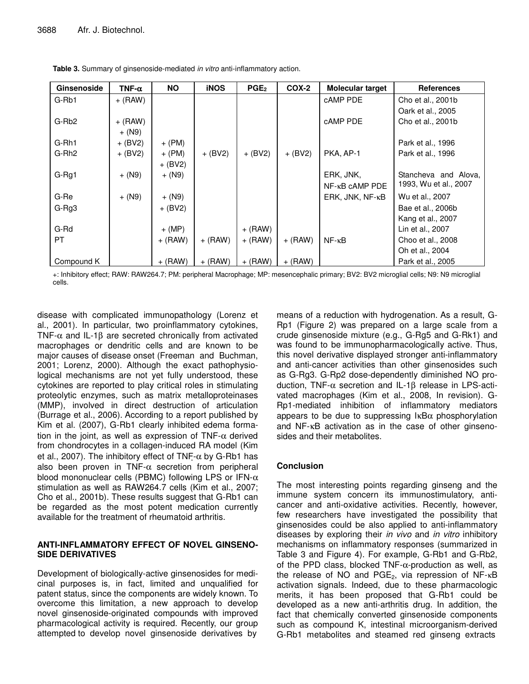| Ginsenoside       | TNF- $\alpha$ | <b>NO</b> | <b>iNOS</b> | PGE <sub>2</sub> | COX-2     | Molecular target         | <b>References</b>     |
|-------------------|---------------|-----------|-------------|------------------|-----------|--------------------------|-----------------------|
| G-Rb1             | $+$ (RAW)     |           |             |                  |           | cAMP PDE                 | Cho et al., 2001b     |
|                   |               |           |             |                  |           |                          | Oark et al., 2005     |
| G-Rb <sub>2</sub> | $+$ (RAW)     |           |             |                  |           | cAMP PDE                 | Cho et al., 2001b     |
|                   | $+ (N9)$      |           |             |                  |           |                          |                       |
| G-Rh1             | $+$ (BV2)     | $+$ (PM)  |             |                  |           |                          | Park et al., 1996     |
| G-Rh <sub>2</sub> | $+$ (BV2)     | $+$ (PM)  | $+$ (BV2)   | $+$ (BV2)        | $+$ (BV2) | PKA, AP-1                | Park et al., 1996     |
|                   |               | $+$ (BV2) |             |                  |           |                          |                       |
| G-Rg1             | $+ (N9)$      | $+ (N9)$  |             |                  |           | ERK, JNK,                | Stancheva and Alova,  |
|                   |               |           |             |                  |           | $NF - \kappa B$ camp PDE | 1993, Wu et al., 2007 |
| G-Re              | $+ (N9)$      | + (N9)    |             |                  |           | ERK, JNK, NF-KB          | Wu et al., 2007       |
| G-Rg3             |               | $+$ (BV2) |             |                  |           |                          | Bae et al., 2006b     |
|                   |               |           |             |                  |           |                          | Kang et al., 2007     |
| G-Rd              |               | $+$ (MP)  |             | $+$ (RAW)        |           |                          | Lin et al., 2007      |
| PT.               |               | $+$ (RAW) | $+$ (RAW)   | $+$ (RAW)        | $+$ (RAW) | $NF - \kappa B$          | Choo et al., 2008     |
|                   |               |           |             |                  |           |                          | Oh et al., 2004       |
| Compound K        |               | $+$ (RAW) | $+$ (RAW)   | $+$ (RAW)        | $+$ (RAW) |                          | Park et al., 2005     |

**Table 3.** Summary of ginsenoside-mediated *in vitro* anti-inflammatory action.

+: Inhibitory effect; RAW: RAW264.7; PM: peripheral Macrophage; MP: mesencephalic primary; BV2: BV2 microglial cells; N9: N9 microglial cells.

disease with complicated immunopathology (Lorenz et al., 2001). In particular, two proinflammatory cytokines, TNF- $\alpha$  and IL-1 $\beta$  are secreted chronically from activated macrophages or dendritic cells and are known to be major causes of disease onset (Freeman and Buchman, 2001; Lorenz, 2000). Although the exact pathophysiological mechanisms are not yet fully understood, these cytokines are reported to play critical roles in stimulating proteolytic enzymes, such as matrix metalloproteinases (MMP), involved in direct destruction of articulation (Burrage et al., 2006). According to a report published by Kim et al. (2007), G-Rb1 clearly inhibited edema formation in the joint, as well as expression of TNF- $\alpha$  derived from chondrocytes in a collagen-induced RA model (Kim et al., 2007). The inhibitory effect of  $TNF-\alpha$  by G-Rb1 has also been proven in TNF- $\alpha$  secretion from peripheral blood mononuclear cells (PBMC) following LPS or IFN- $\alpha$ stimulation as well as RAW264.7 cells (Kim et al., 2007; Cho et al., 2001b). These results suggest that G-Rb1 can be regarded as the most potent medication currently available for the treatment of rheumatoid arthritis.

#### **ANTI-INFLAMMATORY EFFECT OF NOVEL GINSENO-SIDE DERIVATIVES**

Development of biologically-active ginsenosides for medicinal purposes is, in fact, limited and unqualified for patent status, since the components are widely known. To overcome this limitation, a new approach to develop novel ginsenoside-originated compounds with improved pharmacological activity is required. Recently, our group attempted to develop novel ginsenoside derivatives by

means of a reduction with hydrogenation. As a result, G-Rp1 (Figure 2) was prepared on a large scale from a crude ginsenoside mixture (e.g., G-Rg5 and G-Rk1) and was found to be immunopharmacologically active. Thus, this novel derivative displayed stronger anti-inflammatory and anti-cancer activities than other ginsenosides such as G-Rg3. G-Rp2 dose-dependently diminished NO production, TNF-α secretion and IL-1β release in LPS-activated macrophages (Kim et al., 2008, In revision). G-Rp1-mediated inhibition of inflammatory mediators appears to be due to suppressing  $\kappa$ B $\alpha$  phosphorylation and NF-κB activation as in the case of other ginsenosides and their metabolites.

# **Conclusion**

The most interesting points regarding ginseng and the immune system concern its immunostimulatory, anticancer and anti-oxidative activities. Recently, however, few researchers have investigated the possibility that ginsenosides could be also applied to anti-inflammatory diseases by exploring their *in vivo* and *in vitro* inhibitory mechanisms on inflammatory responses (summarized in Table 3 and Figure 4). For example, G-Rb1 and G-Rb2, of the PPD class, blocked  $TNF-\alpha$ -production as well, as the release of NO and  $PGE_2$ , via repression of NF- $κB$ activation signals. Indeed, due to these pharmacologic merits, it has been proposed that G-Rb1 could be developed as a new anti-arthritis drug. In addition, the fact that chemically converted ginsenoside components such as compound K, intestinal microorganism-derived G-Rb1 metabolites and steamed red ginseng extracts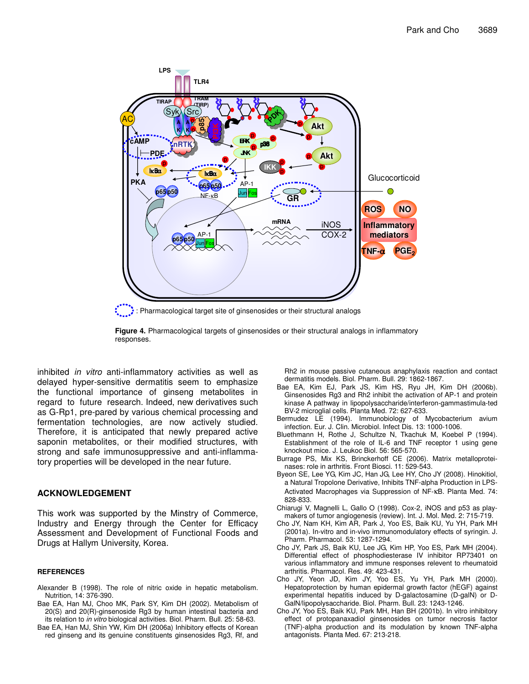

: Pharmacological target site of ginsenosides or their structural analogs



inhibited *in vitro* anti-inflammatory activities as well as delayed hyper-sensitive dermatitis seem to emphasize the functional importance of ginseng metabolites in regard to future research. Indeed, new derivatives such as G-Rp1, pre-pared by various chemical processing and fermentation technologies, are now actively studied. Therefore, it is anticipated that newly prepared active saponin metabolites, or their modified structures, with strong and safe immunosuppressive and anti-inflammatory properties will be developed in the near future.

#### **ACKNOWLEDGEMENT**

This work was supported by the Minstry of Commerce, Industry and Energy through the Center for Efficacy Assessment and Development of Functional Foods and Drugs at Hallym University, Korea.

#### **REFERENCES**

- Alexander B (1998). The role of nitric oxide in hepatic metabolism. Nutrition, 14: 376-390.
- Bae EA, Han MJ, Choo MK, Park SY, Kim DH (2002). Metabolism of 20(S) and 20(R)-ginsenoside Rg3 by human intestinal bacteria and its relation to *in vitro* biological activities. Biol. Pharm. Bull. 25: 58-63.
- Bae EA, Han MJ, Shin YW, Kim DH (2006a) Inhibitory effects of Korean red ginseng and its genuine constituents ginsenosides Rg3, Rf, and

Rh2 in mouse passive cutaneous anaphylaxis reaction and contact dermatitis models. Biol. Pharm. Bull. 29: 1862-1867.

- Bae EA, Kim EJ, Park JS, Kim HS, Ryu JH, Kim DH (2006b). Ginsenosides Rg3 and Rh2 inhibit the activation of AP-1 and protein kinase A pathway in lipopolysaccharide/interferon-gammastimula-ted BV-2 microglial cells. Planta Med. 72: 627-633.
- Bermudez LE (1994). Immunobiology of Mycobacterium avium infection. Eur. J. Clin. Microbiol. Infect Dis. 13: 1000-1006.
- Bluethmann H, Rothe J, Schultze N, Tkachuk M, Koebel P (1994). Establishment of the role of IL-6 and TNF receptor 1 using gene knockout mice. J. Leukoc Biol. 56: 565-570.
- Burrage PS, Mix KS, Brinckerhoff CE (2006). Matrix metalloproteinases: role in arthritis. Front Biosci. 11: 529-543.
- Byeon SE, Lee YG, Kim JC, Han JG, Lee HY, Cho JY (2008). Hinokitiol, a Natural Tropolone Derivative, Inhibits TNF-alpha Production in LPS-Activated Macrophages via Suppression of NF-κB. Planta Med. 74: 828-833.
- Chiarugi V, Magnelli L, Gallo O (1998). Cox-2, iNOS and p53 as playmakers of tumor angiogenesis (review). Int. J. Mol. Med. 2: 715-719.
- Cho JY, Nam KH, Kim AR, Park J, Yoo ES, Baik KU, Yu YH, Park MH (2001a). In-vitro and in-vivo immunomodulatory effects of syringin. J. Pharm. Pharmacol. 53: 1287-1294.
- Cho JY, Park JS, Baik KU, Lee JG, Kim HP, Yoo ES, Park MH (2004). Differential effect of phosphodiesterase IV inhibitor RP73401 on various inflammatory and immune responses relevent to rheumatoid arthritis. Pharmacol. Res. 49: 423-431.
- Cho JY, Yeon JD, Kim JY, Yoo ES, Yu YH, Park MH (2000). Hepatoprotection by human epidermal growth factor (hEGF) against experimental hepatitis induced by D-galactosamine (D-galN) or D-GalN/lipopolysaccharide. Biol. Pharm. Bull. 23: 1243-1246.
- Cho JY, Yoo ES, Baik KU, Park MH, Han BH (2001b). In vitro inhibitory effect of protopanaxadiol ginsenosides on tumor necrosis factor (TNF)-alpha production and its modulation by known TNF-alpha antagonists. Planta Med. 67: 213-218.